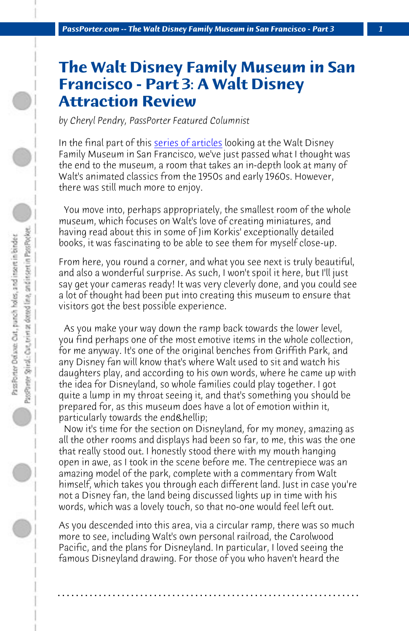*PassPorter.com -- The Walt Disney Family Museum in San Francisco - Part 3 1*

## **The Walt Disney Family Museum in San Francisco - Part 3: A Walt Disney Attraction Review**

*by Cheryl Pendry, PassPorter Featured Columnist*

In the final part of this series of articles looking at the Walt Disney Family Museum in San Francisco, we've just passed what I thought was the end to the museum, a room that takes an in-depth look at many of Walt's animated classics from the 1950s and early 1960s. However, there was still much more to enjoy.

 You move into, perhaps appropriately, the smallest room of the whole museum, which focuses on Walt's love of creating miniatures, and having read about this in some of Jim Korkis' exceptionally detailed books, it was fascinating to be able to see them for myself close-up.

From here, you round a corner, and what you see next is truly beautiful, and also a wonderful surprise. As such, I won't spoil it here, but I'll just say get your cameras ready! It was very cleverly done, and you could see a lot of thought had been put into creating this museum to ensure that visitors got the best possible experience.

 As you make your way down the ramp back towards the lower level, you find perhaps one of the most emotive items in the whole collection, for me anyway. It's one of the original benches from Griffith Park, and any Disney fan will know that's where Walt used to sit and watch his daughters play, and according to his own words, where he came up with the idea for Disneyland, so whole families could play together. I got quite a lump in my throat seeing it, and that's something you should be prepared for, as this museum does have a lot of emotion within it, particularly towards the end & hellip;

 Now it's time for the section on Disneyland, for my money, amazing as all the other rooms and displays had been so far, to me, this was the one that really stood out. I honestly stood there with my mouth hanging open in awe, as I took in the scene before me. The centrepiece was an amazing model of the park, complete with a commentary from Walt himself, which takes you through each different land. Just in case you're not a Disney fan, the land being discussed lights up in time with his words, which was a lovely touch, so that no-one would feel left out.

As you descended into this area, via a circular ramp, there was so much more to see, including Walt's own personal railroad, the Carolwood Pacific, and the plans for Disneyland. In particular, I loved seeing the famous Disneyland drawing. For those of you who haven't heard the

**. . . . . . . . . . . . . . . . . . . . . . . . . . . . . . . . . . . . . . . . . . . . . . . . . . . . . . . . . . . . . . . . . .**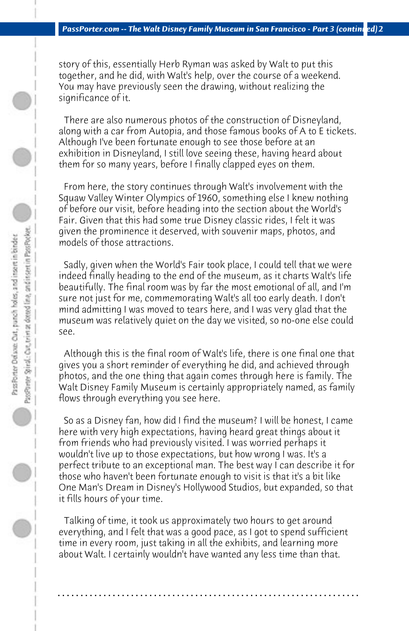story of this, essentially Herb Ryman was asked by Walt to put this together, and he did, with Walt's help, over the course of a weekend. You may have previously seen the drawing, without realizing the significance of it.

 There are also numerous photos of the construction of Disneyland, along with a car from Autopia, and those famous books of A to E tickets. Although I've been fortunate enough to see those before at an exhibition in Disneyland, I still love seeing these, having heard about them for so many years, before I finally clapped eyes on them.

 From here, the story continues through Walt's involvement with the Squaw Valley Winter Olympics of 1960, something else I knew nothing of before our visit, before heading into the section about the World's Fair. Given that this had some true Disney classic rides, I felt it was given the prominence it deserved, with souvenir maps, photos, and models of those attractions.

 Sadly, given when the World's Fair took place, I could tell that we were indeed finally heading to the end of the museum, as it charts Walt's life beautifully. The final room was by far the most emotional of all, and I'm sure not just for me, commemorating Walt's all too early death. I don't mind admitting I was moved to tears here, and I was very glad that the museum was relatively quiet on the day we visited, so no-one else could see.

 Although this is the final room of Walt's life, there is one final one that gives you a short reminder of everything he did, and achieved through photos, and the one thing that again comes through here is family. The Walt Disney Family Museum is certainly appropriately named, as family flows through everything you see here.

 So as a Disney fan, how did I find the museum? I will be honest, I came here with very high expectations, having heard great things about it from friends who had previously visited. I was worried perhaps it wouldn't live up to those expectations, but how wrong I was. It's a perfect tribute to an exceptional man. The best way I can describe it for those who haven't been fortunate enough to visit is that it's a bit like One Man's Dream in Disney's Hollywood Studios, but expanded, so that it fills hours of your time.

 Talking of time, it took us approximately two hours to get around everything, and I felt that was a good pace, as I got to spend sufficient time in every room, just taking in all the exhibits, and learning more about Walt. I certainly wouldn't have wanted any less time than that.

**. . . . . . . . . . . . . . . . . . . . . . . . . . . . . . . . . . . . . . . . . . . . . . . . . . . . . . . . . . . . . . . . . .**